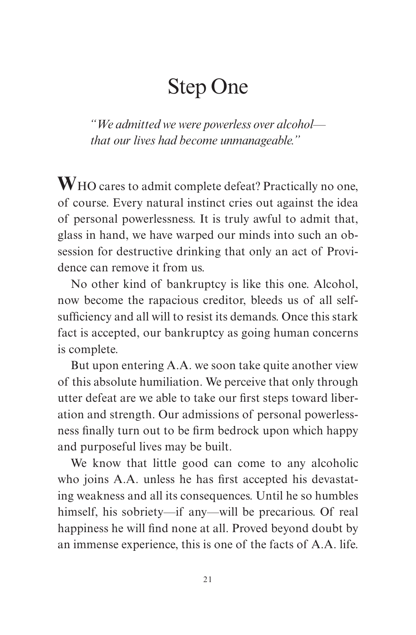## Step One

*"We admitted we were powerless over alcohol that our lives had become unmanageable."*

**W**HO cares to admit complete defeat? Practically no one, of course. Every natural instinct cries out against the idea of personal powerlessness. It is truly awful to admit that, glass in hand, we have warped our minds into such an obsession for destructive drinking that only an act of Providence can remove it from us.

No other kind of bankruptcy is like this one. Alcohol, now become the rapacious creditor, bleeds us of all selfsufficiency and all will to resist its demands. Once this stark fact is accepted, our bankruptcy as going human concerns is complete.

But upon entering A.A. we soon take quite another view of this absolute humiliation. We perceive that only through utter defeat are we able to take our first steps toward liberation and strength. Our admissions of personal powerlessness finally turn out to be firm bedrock upon which happy and purposeful lives may be built.

We know that little good can come to any alcoholic who joins A.A. unless he has first accepted his devastating weakness and all its consequences. Until he so humbles himself, his sobriety—if any—will be precarious. Of real happiness he will find none at all. Proved beyond doubt by an immense experience, this is one of the facts of A.A. life.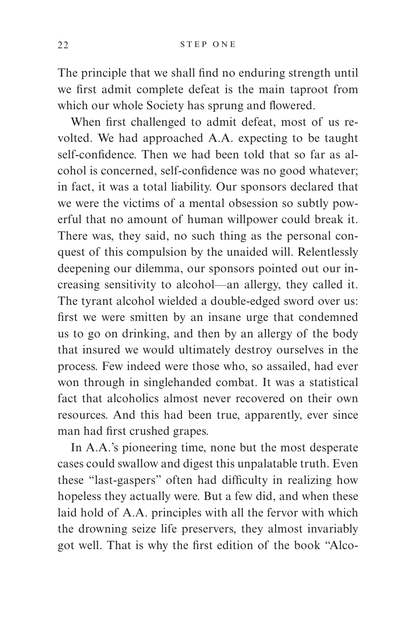The principle that we shall find no enduring strength until we first admit complete defeat is the main taproot from which our whole Society has sprung and flowered.

When first challenged to admit defeat, most of us revolted. We had approached A.A. expecting to be taught self-confidence. Then we had been told that so far as alcohol is concerned, self-confidence was no good whatever; in fact, it was a total liability. Our sponsors declared that we were the victims of a mental obsession so subtly powerful that no amount of human willpower could break it. There was, they said, no such thing as the personal conquest of this compulsion by the unaided will. Relentlessly deepening our dilemma, our sponsors pointed out our increasing sensitivity to alcohol—an allergy, they called it. The tyrant alcohol wielded a double-edged sword over us: first we were smitten by an insane urge that condemned us to go on drinking, and then by an allergy of the body that insured we would ultimately destroy ourselves in the process. Few indeed were those who, so assailed, had ever won through in singlehanded combat. It was a statistical fact that alcoholics almost never recovered on their own resources. And this had been true, apparently, ever since man had first crushed grapes.

In A.A.'s pioneering time, none but the most desperate cases could swallow and digest this unpalatable truth. Even these "last-gaspers" often had difficulty in realizing how hopeless they actually were. But a few did, and when these laid hold of A.A. principles with all the fervor with which the drowning seize life preservers, they almost invariably got well. That is why the first edition of the book "Alco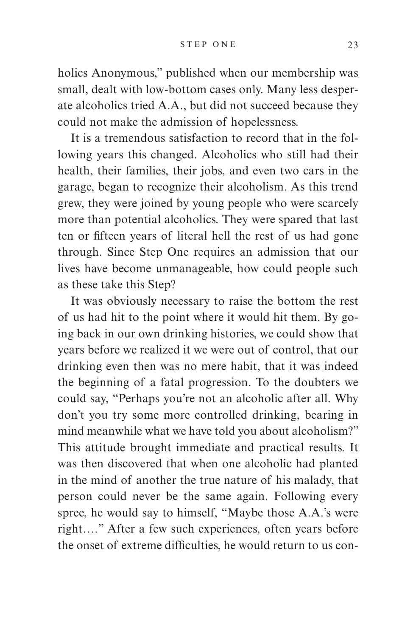holics Anonymous," published when our membership was small, dealt with low-bottom cases only. Many less desperate alcoholics tried A.A., but did not succeed because they could not make the admission of hopelessness.

It is a tremendous satisfaction to record that in the following years this changed. Alcoholics who still had their health, their families, their jobs, and even two cars in the garage, began to recognize their alcoholism. As this trend grew, they were joined by young people who were scarcely more than potential alcoholics. They were spared that last ten or fifteen years of literal hell the rest of us had gone through. Since Step One requires an admission that our lives have become unmanageable, how could people such as these take this Step?

It was obviously necessary to raise the bottom the rest of us had hit to the point where it would hit them. By going back in our own drinking histories, we could show that years before we realized it we were out of control, that our drinking even then was no mere habit, that it was indeed the beginning of a fatal progression. To the doubters we could say, "Perhaps you're not an alcoholic after all. Why don't you try some more controlled drinking, bearing in mind meanwhile what we have told you about alcoholism?" This attitude brought immediate and practical results. It was then discovered that when one alcoholic had planted in the mind of another the true nature of his malady, that person could never be the same again. Following every spree, he would say to himself, "Maybe those A.A.'s were right…." After a few such experiences, often years before the onset of extreme difficulties, he would return to us con